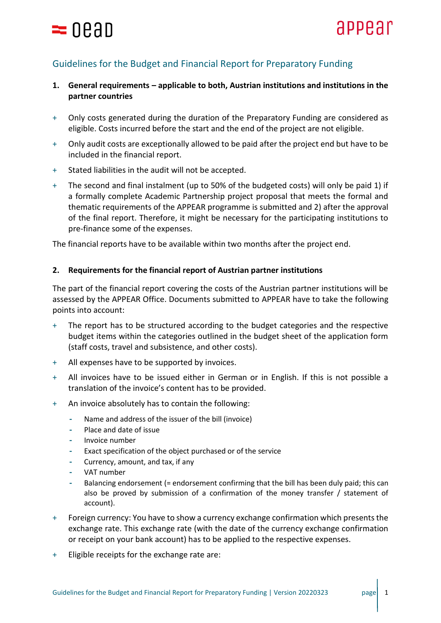

## Guidelines for the Budget and Financial Report for Preparatory Funding

## **1. General requirements – applicable to both, Austrian institutions and institutions in the partner countries**

- + Only costs generated during the duration of the Preparatory Funding are considered as eligible. Costs incurred before the start and the end of the project are not eligible.
- + Only audit costs are exceptionally allowed to be paid after the project end but have to be included in the financial report.
- + Stated liabilities in the audit will not be accepted.
- + The second and final instalment (up to 50% of the budgeted costs) will only be paid 1) if a formally complete Academic Partnership project proposal that meets the formal and thematic requirements of the APPEAR programme is submitted and 2) after the approval of the final report. Therefore, it might be necessary for the participating institutions to pre-finance some of the expenses.

The financial reports have to be available within two months after the project end.

## **2. Requirements for the financial report of Austrian partner institutions**

The part of the financial report covering the costs of the Austrian partner institutions will be assessed by the APPEAR Office. Documents submitted to APPEAR have to take the following points into account:

- + The report has to be structured according to the budget categories and the respective budget items within the categories outlined in the budget sheet of the application form (staff costs, travel and subsistence, and other costs).
- + All expenses have to be supported by invoices.
- + All invoices have to be issued either in German or in English. If this is not possible a translation of the invoice's content has to be provided.
- + An invoice absolutely has to contain the following:
	- **-** Name and address of the issuer of the bill (invoice)
	- **-** Place and date of issue
	- **-** Invoice number
	- **-** Exact specification of the object purchased or of the service
	- **-** Currency, amount, and tax, if any
	- **-** VAT number
	- **-** Balancing endorsement (= endorsement confirming that the bill has been duly paid; this can also be proved by submission of a confirmation of the money transfer / statement of account).
- + Foreign currency: You have to show a currency exchange confirmation which presents the exchange rate. This exchange rate (with the date of the currency exchange confirmation or receipt on your bank account) has to be applied to the respective expenses.
- + Eligible receipts for the exchange rate are: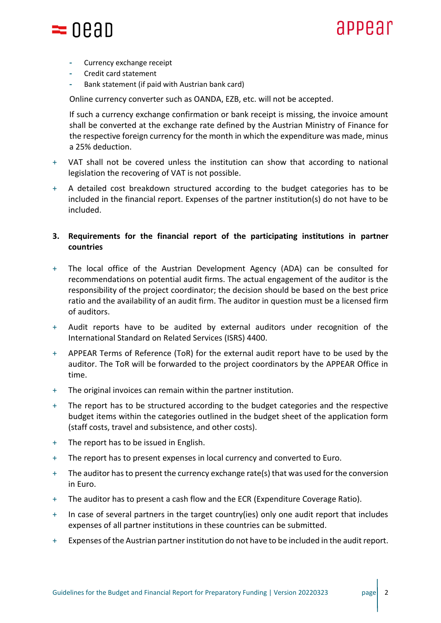

# appear

- **-** Currency exchange receipt
- **-** Credit card statement
- **-** Bank statement (if paid with Austrian bank card)

Online currency converter such as OANDA, EZB, etc. will not be accepted.

If such a currency exchange confirmation or bank receipt is missing, the invoice amount shall be converted at the exchange rate defined by the Austrian Ministry of Finance for the respective foreign currency for the month in which the expenditure was made, minus a 25% deduction.

- + VAT shall not be covered unless the institution can show that according to national legislation the recovering of VAT is not possible.
- + A detailed cost breakdown structured according to the budget categories has to be included in the financial report. Expenses of the partner institution(s) do not have to be included.

## **3. Requirements for the financial report of the participating institutions in partner countries**

- + The local office of the Austrian Development Agency (ADA) can be consulted for recommendations on potential audit firms. The actual engagement of the auditor is the responsibility of the project coordinator; the decision should be based on the best price ratio and the availability of an audit firm. The auditor in question must be a licensed firm of auditors.
- + Audit reports have to be audited by external auditors under recognition of the International Standard on Related Services (ISRS) 4400.
- + APPEAR Terms of Reference (ToR) for the external audit report have to be used by the auditor. The ToR will be forwarded to the project coordinators by the APPEAR Office in time.
- + The original invoices can remain within the partner institution.
- + The report has to be structured according to the budget categories and the respective budget items within the categories outlined in the budget sheet of the application form (staff costs, travel and subsistence, and other costs).
- + The report has to be issued in English.
- + The report has to present expenses in local currency and converted to Euro.
- + The auditor has to present the currency exchange rate(s) that was used for the conversion in Euro.
- + The auditor has to present a cash flow and the ECR (Expenditure Coverage Ratio).
- + In case of several partners in the target country(ies) only one audit report that includes expenses of all partner institutions in these countries can be submitted.
- + Expenses of the Austrian partner institution do not have to be included in the audit report.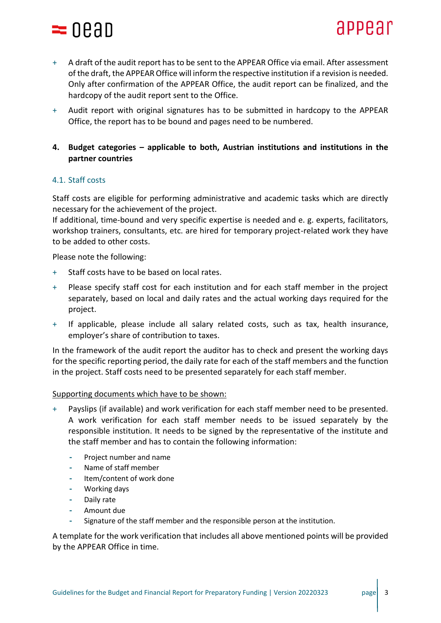

- + A draft of the audit report has to be sent to the APPEAR Office via email. After assessment of the draft, the APPEAR Office will inform the respective institution if a revision is needed. Only after confirmation of the APPEAR Office, the audit report can be finalized, and the hardcopy of the audit report sent to the Office.
- + Audit report with original signatures has to be submitted in hardcopy to the APPEAR Office, the report has to be bound and pages need to be numbered.

## **4. Budget categories – applicable to both, Austrian institutions and institutions in the partner countries**

## 4.1. Staff costs

Staff costs are eligible for performing administrative and academic tasks which are directly necessary for the achievement of the project.

If additional, time-bound and very specific expertise is needed and e. g. experts, facilitators, workshop trainers, consultants, etc. are hired for temporary project-related work they have to be added to other costs.

Please note the following:

- + Staff costs have to be based on local rates.
- + Please specify staff cost for each institution and for each staff member in the project separately, based on local and daily rates and the actual working days required for the project.
- + If applicable, please include all salary related costs, such as tax, health insurance, employer's share of contribution to taxes.

In the framework of the audit report the auditor has to check and present the working days for the specific reporting period, the daily rate for each of the staff members and the function in the project. Staff costs need to be presented separately for each staff member.

#### Supporting documents which have to be shown:

- + Payslips (if available) and work verification for each staff member need to be presented. A work verification for each staff member needs to be issued separately by the responsible institution. It needs to be signed by the representative of the institute and the staff member and has to contain the following information:
	- **-** Project number and name
	- **-** Name of staff member
	- **-** Item/content of work done
	- **-** Working days
	- **-** Daily rate
	- **-** Amount due
	- **-** Signature of the staff member and the responsible person at the institution.

A template for the work verification that includes all above mentioned points will be provided by the APPEAR Office in time.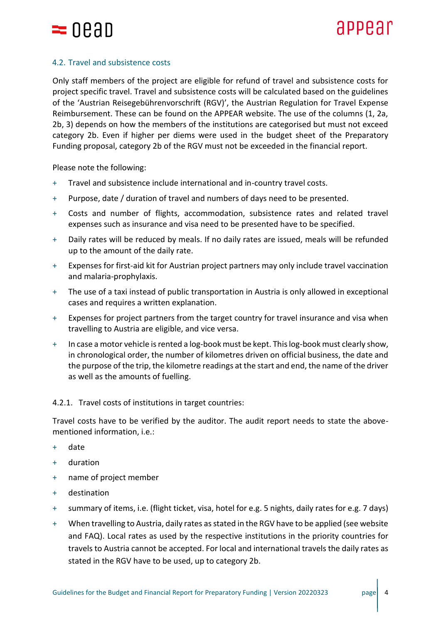

## 4.2. Travel and subsistence costs

Only staff members of the project are eligible for refund of travel and subsistence costs for project specific travel. Travel and subsistence costs will be calculated based on the guidelines of the 'Austrian Reisegebührenvorschrift (RGV)', the Austrian Regulation for Travel Expense Reimbursement. These can be found on the APPEAR website. The use of the columns (1, 2a, 2b, 3) depends on how the members of the institutions are categorised but must not exceed category 2b. Even if higher per diems were used in the budget sheet of the Preparatory Funding proposal, category 2b of the RGV must not be exceeded in the financial report.

Please note the following:

- + Travel and subsistence include international and in-country travel costs.
- + Purpose, date / duration of travel and numbers of days need to be presented.
- + Costs and number of flights, accommodation, subsistence rates and related travel expenses such as insurance and visa need to be presented have to be specified.
- + Daily rates will be reduced by meals. If no daily rates are issued, meals will be refunded up to the amount of the daily rate.
- + Expenses for first-aid kit for Austrian project partners may only include travel vaccination and malaria-prophylaxis.
- + The use of a taxi instead of public transportation in Austria is only allowed in exceptional cases and requires a written explanation.
- + Expenses for project partners from the target country for travel insurance and visa when travelling to Austria are eligible, and vice versa.
- + In case a motor vehicle isrented a log-book must be kept. This log-book must clearly show, in chronological order, the number of kilometres driven on official business, the date and the purpose of the trip, the kilometre readings at the start and end, the name of the driver as well as the amounts of fuelling.

## 4.2.1. Travel costs of institutions in target countries:

Travel costs have to be verified by the auditor. The audit report needs to state the abovementioned information, i.e.:

- + date
- + duration
- + name of project member
- + destination
- + summary of items, i.e. (flight ticket, visa, hotel for e.g. 5 nights, daily rates for e.g. 7 days)
- + When travelling to Austria, daily rates as stated in the RGV have to be applied (see website and FAQ). Local rates as used by the respective institutions in the priority countries for travels to Austria cannot be accepted. For local and international travels the daily rates as stated in the RGV have to be used, up to category 2b.